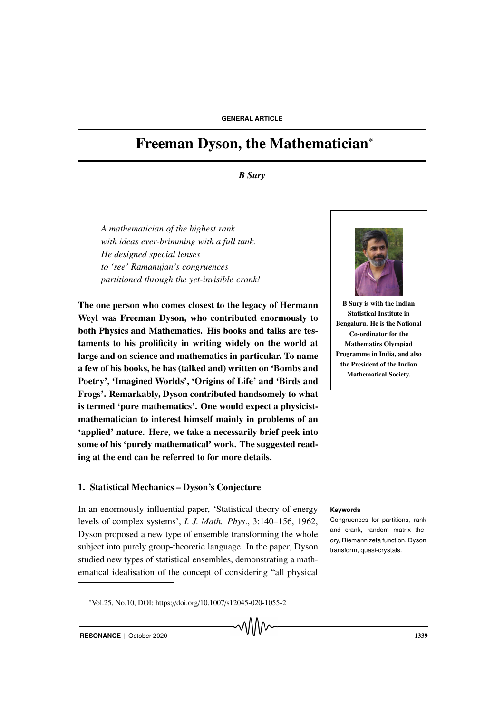# Freeman Dyson, the Mathematician<sup>∗</sup>

# *B Sury*

*A mathematician of the highest rank with ideas ever-brimming with a full tank. He designed special lenses to 'see' Ramanujan's congruences partitioned through the yet-invisible crank!*

The one person who comes closest to the legacy of Hermann Weyl was Freeman Dyson, who contributed enormously to both Physics and Mathematics. His books and talks are testaments to his prolificity in writing widely on the world at large and on science and mathematics in particular. To name a few of his books, he has (talked and) written on 'Bombs and Poetry', 'Imagined Worlds', 'Origins of Life' and 'Birds and Frogs'. Remarkably, Dyson contributed handsomely to what is termed 'pure mathematics'. One would expect a physicistmathematician to interest himself mainly in problems of an 'applied' nature. Here, we take a necessarily brief peek into some of his 'purely mathematical' work. The suggested reading at the end can be referred to for more details.

# 1. Statistical Mechanics – Dyson's Conjecture

In an enormously influential paper, 'Statistical theory of energy **Keywords** levels of complex systems', *I. J. Math. Phys*., 3:140–156, 1962, Dyson proposed a new type of ensemble transforming the whole subject into purely group-theoretic language. In the paper, Dyson studied new types of statistical ensembles, demonstrating a mathematical idealisation of the concept of considering "all physical

<sup>∗</sup>Vol.25, No.10, DOI: https://doi.org/10.1007/s12045-020-1055-2





B Sury is with the Indian Statistical Institute in Bengaluru. He is the National Co-ordinator for the Mathematics Olympiad Programme in India, and also the President of the Indian Mathematical Society.

Congruences for partitions, rank and crank, random matrix theory, Riemann zeta function, Dyson transform, quasi-crystals.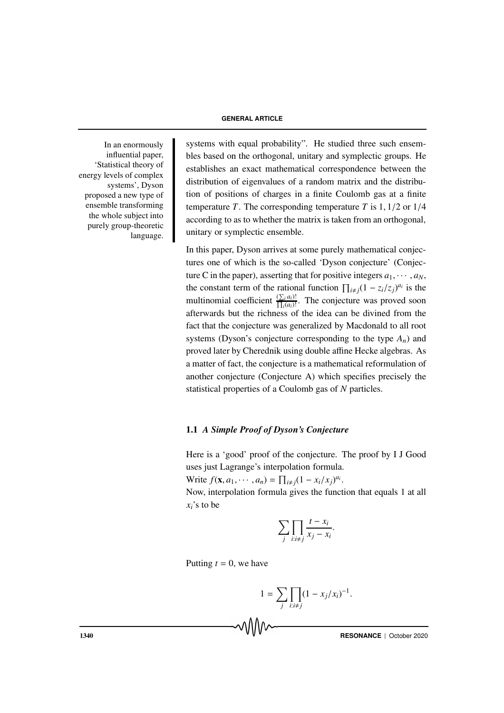influential paper, 'Statistical theory of energy levels of complex systems', Dyson proposed a new type of ensemble transforming the whole subject into purely group-theoretic language.

In an enormously systems with equal probability". He studied three such ensembles based on the orthogonal, unitary and symplectic groups. He establishes an exact mathematical correspondence between the distribution of eigenvalues of a random matrix and the distribution of positions of charges in a finite Coulomb gas at a finite temperature *T*. The corresponding temperature *T* is 1,  $1/2$  or  $1/4$ according to as to whether the matrix is taken from an orthogonal, unitary or symplectic ensemble.

> In this paper, Dyson arrives at some purely mathematical conjectures one of which is the so-called 'Dyson conjecture' (Conjecture C in the paper), asserting that for positive integers  $a_1, \dots, a_N$ , the constant term of the rational function  $\prod_{i \neq j} (1 - z_i/z_j)^{a_i}$  is the multinomial coefficient  $\frac{\sum_i a_i}{\prod_i (a_i)!}$ . The conjecture was proved soon afterwards but the richness of the idea can be divined from the fact that the conjecture was generalized by Macdonald to all root systems (Dyson's conjecture corresponding to the type  $A_n$ ) and proved later by Cherednik using double affine Hecke algebras. As a matter of fact, the conjecture is a mathematical reformulation of another conjecture (Conjecture A) which specifies precisely the statistical properties of a Coulomb gas of *N* particles.

# 1.1 *A Simple Proof of Dyson's Conjecture*

Here is a 'good' proof of the conjecture. The proof by I J Good uses just Lagrange's interpolation formula.

Write  $f(\mathbf{x}, a_1, \dots, a_n) = \prod_{i \neq j} (1 - x_i/x_j)^{a_i}$ .

Now, interpolation formula gives the function that equals 1 at all  $x_i$ 's to be

$$
\sum_{j} \prod_{i:i \neq j} \frac{t - x_i}{x_j - x_i}.
$$

Putting 
$$
t = 0
$$
, we have

$$
1 = \sum_{j} \prod_{i:i \neq j} (1 - x_j/x_i)^{-1}.
$$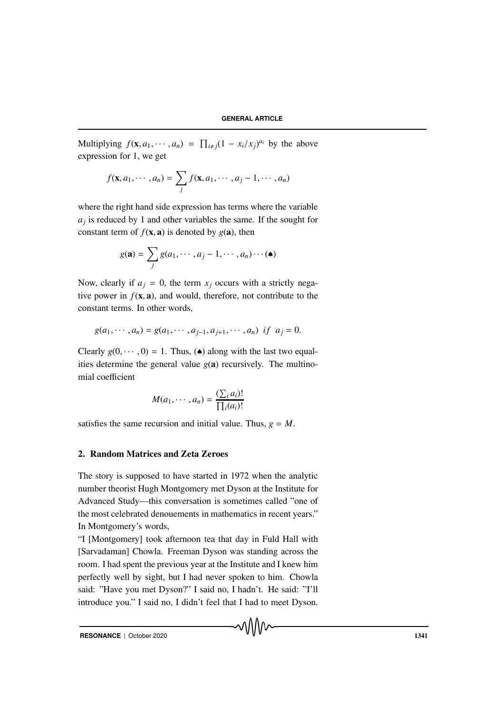Multiplying  $f(\mathbf{x}, a_1, \dots, a_n) = \prod_{i \neq j} (1 - x_i/x_j)^{a_i}$  by the above expression for 1, we get

$$
f(\mathbf{x}, a_1, \cdots, a_n) = \sum_j f(\mathbf{x}, a_1, \cdots, a_j - 1, \cdots, a_n)
$$

where the right hand side expression has terms where the variable  $a_j$  is reduced by 1 and other variables the same. If the sought for constant term of  $f(\mathbf{x}, \mathbf{a})$  is denoted by  $g(\mathbf{a})$ , then

$$
g(\mathbf{a}) = \sum_{j} g(a_1, \cdots, a_j - 1, \cdots, a_n) \cdots (\mathbf{a})
$$

Now, clearly if  $a_j = 0$ , the term  $x_j$  occurs with a strictly negative power in  $f(\mathbf{x}, \mathbf{a})$ , and would, therefore, not contribute to the constant terms. In other words,

$$
g(a_1, \cdots, a_n) = g(a_1, \cdots, a_{j-1}, a_{j+1}, \cdots, a_n) \text{ if } a_j = 0.
$$

Clearly  $g(0, \dots, 0) = 1$ . Thus, ( $\bullet$ ) along with the last two equalities determine the general value  $g(a)$  recursively. The multinomial coefficient

$$
M(a_1, \cdots, a_n) = \frac{(\sum_i a_i)!}{\prod_i (a_i)!}
$$

satisfies the same recursion and initial value. Thus,  $g = M$ .

# 2. Random Matrices and Zeta Zeroes

The story is supposed to have started in 1972 when the analytic number theorist Hugh Montgomery met Dyson at the Institute for Advanced Study—this conversation is sometimes called "one of the most celebrated denouements in mathematics in recent years." In Montgomery's words,

"I [Montgomery] took afternoon tea that day in Fuld Hall with [Sarvadaman] Chowla. Freeman Dyson was standing across the room. I had spent the previous year at the Institute and I knew him perfectly well by sight, but I had never spoken to him. Chowla said: "Have you met Dyson?" I said no, I hadn't. He said: "I'll introduce you." I said no, I didn't feel that I had to meet Dyson.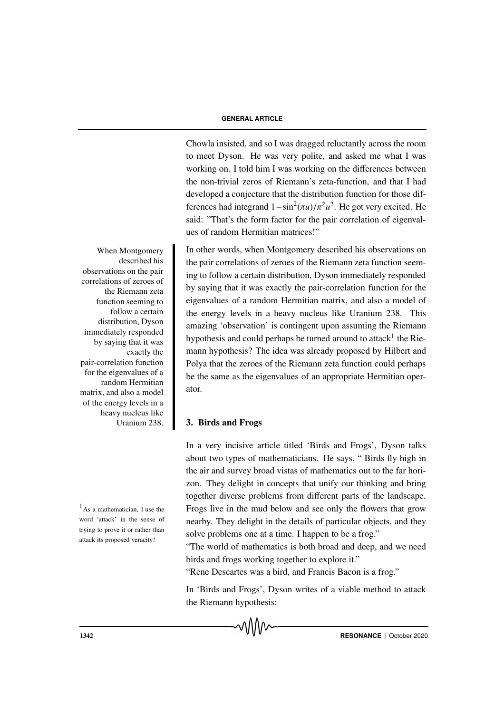Chowla insisted, and so I was dragged reluctantly across the room to meet Dyson. He was very polite, and asked me what I was working on. I told him I was working on the differences between the non-trivial zeros of Riemann's zeta-function, and that I had developed a conjecture that the distribution function for those differences had integrand  $1 - \sin^2(\pi u)/\pi^2 u^2$ . He got very excited. He said: "That's the form factor for the pair correlation of eigenvalues of random Hermitian matrices!"

When Montgomery In other words, when Montgomery described his observations on the pair correlations of zeroes of the Riemann zeta function seeming to follow a certain distribution, Dyson immediately responded by saying that it was exactly the pair-correlation function for the eigenvalues of a random Hermitian matrix, and also a model of the energy levels in a heavy nucleus like Uranium 238. This amazing 'observation' is contingent upon assuming the Riemann hypothesis and could perhaps be turned around to attack<sup>1</sup> the Riemann hypothesis? The idea was already proposed by Hilbert and Polya that the zeroes of the Riemann zeta function could perhaps be the same as the eigenvalues of an appropriate Hermitian operator.

# 3. Birds and Frogs

In a very incisive article titled 'Birds and Frogs', Dyson talks about two types of mathematicians. He says, " Birds fly high in the air and survey broad vistas of mathematics out to the far horizon. They delight in concepts that unify our thinking and bring together diverse problems from different parts of the landscape. Frogs live in the mud below and see only the flowers that grow nearby. They delight in the details of particular objects, and they solve problems one at a time. I happen to be a frog."

"The world of mathematics is both broad and deep, and we need birds and frogs working together to explore it."

"Rene Descartes was a bird, and Francis Bacon is a frog."

In 'Birds and Frogs', Dyson writes of a viable method to attack the Riemann hypothesis:

**Tasa RESONANCE** | October 2020

described his observations on the pair correlations of zeroes of the Riemann zeta function seeming to follow a certain distribution, Dyson immediately responded by saying that it was exactly the pair-correlation function for the eigenvalues of a random Hermitian matrix, and also a model of the energy levels in a heavy nucleus like Uranium 238.

 $<sup>1</sup>$ As a mathematician, I use the</sup> word 'attack' in the sense of trying to prove it or rather than attack its proposed veracity!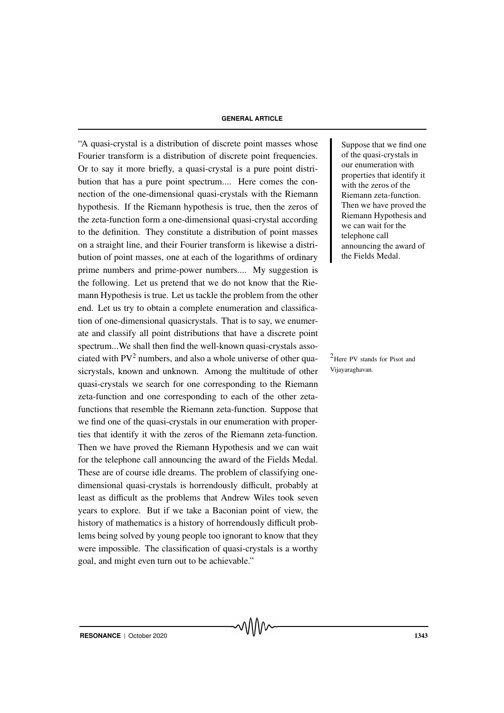"A quasi-crystal is a distribution of discrete point masses whose Suppose that we find one Fourier transform is a distribution of discrete point frequencies. Or to say it more briefly, a quasi-crystal is a pure point distribution that has a pure point spectrum.... Here comes the connection of the one-dimensional quasi-crystals with the Riemann hypothesis. If the Riemann hypothesis is true, then the zeros of the zeta-function form a one-dimensional quasi-crystal according to the definition. They constitute a distribution of point masses on a straight line, and their Fourier transform is likewise a distribution of point masses, one at each of the logarithms of ordinary prime numbers and prime-power numbers.... My suggestion is the following. Let us pretend that we do not know that the Riemann Hypothesis is true. Let us tackle the problem from the other end. Let us try to obtain a complete enumeration and classification of one-dimensional quasicrystals. That is to say, we enumerate and classify all point distributions that have a discrete point spectrum...We shall then find the well-known quasi-crystals associated with PV<sup>2</sup> numbers, and also a whole universe of other qua-  $2$ <sup>Here</sup> PV stands for Pisot and sicrystals, known and unknown. Among the multitude of other quasi-crystals we search for one corresponding to the Riemann zeta-function and one corresponding to each of the other zetafunctions that resemble the Riemann zeta-function. Suppose that we find one of the quasi-crystals in our enumeration with properties that identify it with the zeros of the Riemann zeta-function. Then we have proved the Riemann Hypothesis and we can wait for the telephone call announcing the award of the Fields Medal. These are of course idle dreams. The problem of classifying onedimensional quasi-crystals is horrendously difficult, probably at least as difficult as the problems that Andrew Wiles took seven years to explore. But if we take a Baconian point of view, the history of mathematics is a history of horrendously difficult problems being solved by young people too ignorant to know that they were impossible. The classification of quasi-crystals is a worthy goal, and might even turn out to be achievable."

of the quasi-crystals in our enumeration with properties that identify it with the zeros of the Riemann zeta-function. Then we have proved the Riemann Hypothesis and we can wait for the telephone call announcing the award of the Fields Medal.

Vijayaraghavan.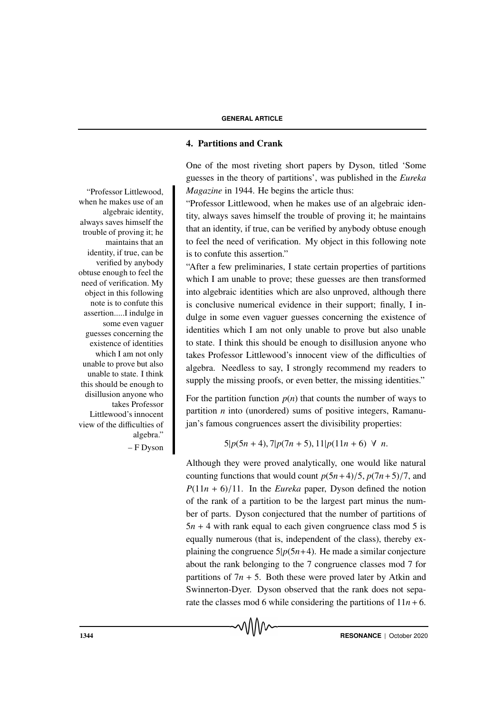# 4. Partitions and Crank

One of the most riveting short papers by Dyson, titled 'Some guesses in the theory of partitions', was published in the *Eureka* "Professor Littlewood, *Magazine* in 1944. He begins the article thus:

> "Professor Littlewood, when he makes use of an algebraic identity, always saves himself the trouble of proving it; he maintains that an identity, if true, can be verified by anybody obtuse enough to feel the need of verification. My object in this following note is to confute this assertion."

> "After a few preliminaries, I state certain properties of partitions which I am unable to prove; these guesses are then transformed into algebraic identities which are also unproved, although there is conclusive numerical evidence in their support; finally, I indulge in some even vaguer guesses concerning the existence of identities which I am not only unable to prove but also unable to state. I think this should be enough to disillusion anyone who takes Professor Littlewood's innocent view of the difficulties of algebra. Needless to say, I strongly recommend my readers to supply the missing proofs, or even better, the missing identities."

> For the partition function  $p(n)$  that counts the number of ways to partition *n* into (unordered) sums of positive integers, Ramanujan's famous congruences assert the divisibility properties:

> > $5|p(5n+4), 7|p(7n+5), 11|p(11n+6) \forall n$ .

Although they were proved analytically, one would like natural counting functions that would count  $p(5n+4)/5$ ,  $p(7n+5)/7$ , and  $P(11n + 6)/11$ . In the *Eureka* paper, Dyson defined the notion of the rank of a partition to be the largest part minus the number of parts. Dyson conjectured that the number of partitions of  $5n + 4$  with rank equal to each given congruence class mod 5 is equally numerous (that is, independent of the class), thereby explaining the congruence  $5|p(5n+4)$ . He made a similar conjecture about the rank belonging to the 7 congruence classes mod 7 for partitions of  $7n + 5$ . Both these were proved later by Atkin and Swinnerton-Dyer. Dyson observed that the rank does not separate the classes mod 6 while considering the partitions of  $11n+6$ .

when he makes use of an algebraic identity, always saves himself the trouble of proving it; he maintains that an identity, if true, can be verified by anybody obtuse enough to feel the need of verification. My object in this following note is to confute this assertion.....I indulge in some even vaguer guesses concerning the existence of identities which I am not only unable to prove but also unable to state. I think this should be enough to disillusion anyone who takes Professor Littlewood's innocent view of the difficulties of algebra."

– F Dyson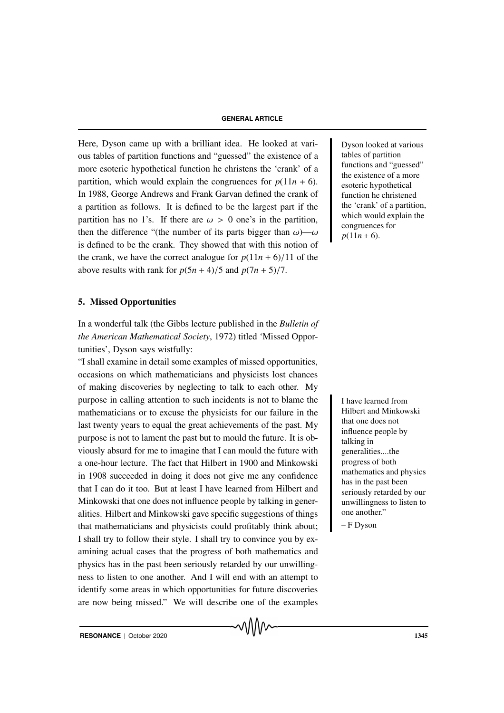Here, Dyson came up with a brilliant idea. He looked at vari- Dyson looked at various ous tables of partition functions and "guessed" the existence of a more esoteric hypothetical function he christens the 'crank' of a partition, which would explain the congruences for  $p(11n + 6)$ . In 1988, George Andrews and Frank Garvan defined the crank of a partition as follows. It is defined to be the largest part if the partition has no 1's. If there are  $\omega > 0$  one's in the partition, then the difference "(the number of its parts bigger than  $\omega$ )— $\omega$ is defined to be the crank. They showed that with this notion of the crank, we have the correct analogue for  $p(11n + 6)/11$  of the above results with rank for  $p(5n + 4)/5$  and  $p(7n + 5)/7$ .

# 5. Missed Opportunities

In a wonderful talk (the Gibbs lecture published in the *Bulletin of the American Mathematical Society*, 1972) titled 'Missed Opportunities', Dyson says wistfully:

"I shall examine in detail some examples of missed opportunities, occasions on which mathematicians and physicists lost chances of making discoveries by neglecting to talk to each other. My purpose in calling attention to such incidents is not to blame the I have learned from mathematicians or to excuse the physicists for our failure in the last twenty years to equal the great achievements of the past. My purpose is not to lament the past but to mould the future. It is obviously absurd for me to imagine that I can mould the future with a one-hour lecture. The fact that Hilbert in 1900 and Minkowski in 1908 succeeded in doing it does not give me any confidence that I can do it too. But at least I have learned from Hilbert and Minkowski that one does not influence people by talking in generalities. Hilbert and Minkowski gave specific suggestions of things that mathematicians and physicists could profitably think about; I shall try to follow their style. I shall try to convince you by examining actual cases that the progress of both mathematics and physics has in the past been seriously retarded by our unwillingness to listen to one another. And I will end with an attempt to identify some areas in which opportunities for future discoveries are now being missed." We will describe one of the examples

tables of partition functions and "guessed" the existence of a more esoteric hypothetical function he christened the 'crank' of a partition, which would explain the congruences for  $p(11n + 6)$ .

Hilbert and Minkowski that one does not influence people by talking in generalities....the progress of both mathematics and physics has in the past been seriously retarded by our unwillingness to listen to one another."

– F Dyson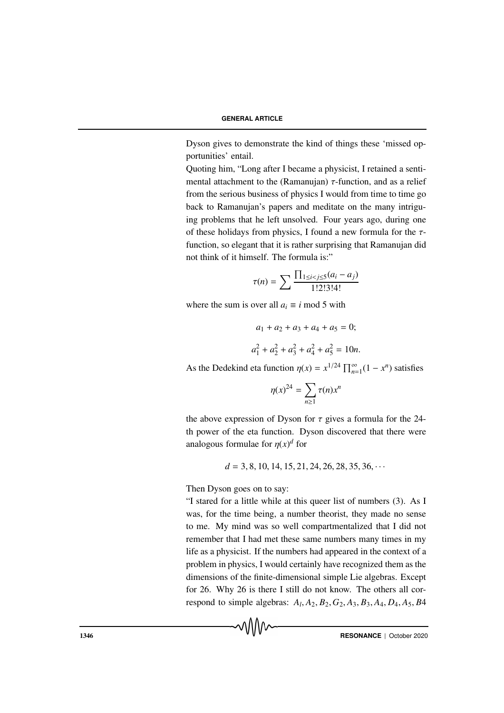Dyson gives to demonstrate the kind of things these 'missed opportunities' entail.

Quoting him, "Long after I became a physicist, I retained a sentimental attachment to the (Ramanujan)  $\tau$ -function, and as a relief from the serious business of physics I would from time to time go back to Ramanujan's papers and meditate on the many intriguing problems that he left unsolved. Four years ago, during one of these holidays from physics, I found a new formula for the  $\tau$ function, so elegant that it is rather surprising that Ramanujan did not think of it himself. The formula is:"

$$
\tau(n) = \sum \frac{\prod_{1 \leq i < j \leq 5} (a_i - a_j)}{1!2!3!4!}
$$

where the sum is over all  $a_i \equiv i \mod 5$  with

$$
a_1 + a_2 + a_3 + a_4 + a_5 = 0;
$$
  

$$
a_1^2 + a_2^2 + a_3^2 + a_4^2 + a_5^2 = 10n.
$$

As the Dedekind eta function  $\eta(x) = x^{1/24} \prod_{n=1}^{\infty} (1 - x^n)$  satisfies

$$
\eta(x)^{24} = \sum_{n\geq 1} \tau(n) x^n
$$

the above expression of Dyson for  $\tau$  gives a formula for the 24th power of the eta function. Dyson discovered that there were analogous formulae for  $\eta(x)^d$  for

$$
d = 3, 8, 10, 14, 15, 21, 24, 26, 28, 35, 36, \cdots
$$

Then Dyson goes on to say:

"I stared for a little while at this queer list of numbers (3). As I was, for the time being, a number theorist, they made no sense to me. My mind was so well compartmentalized that I did not remember that I had met these same numbers many times in my life as a physicist. If the numbers had appeared in the context of a problem in physics, I would certainly have recognized them as the dimensions of the finite-dimensional simple Lie algebras. Except for 26. Why 26 is there I still do not know. The others all correspond to simple algebras:  $A_1, A_2, B_2, G_2, A_3, B_3, A_4, D_4, A_5, B_4$ 

**1346 RESONANCE** | October 2020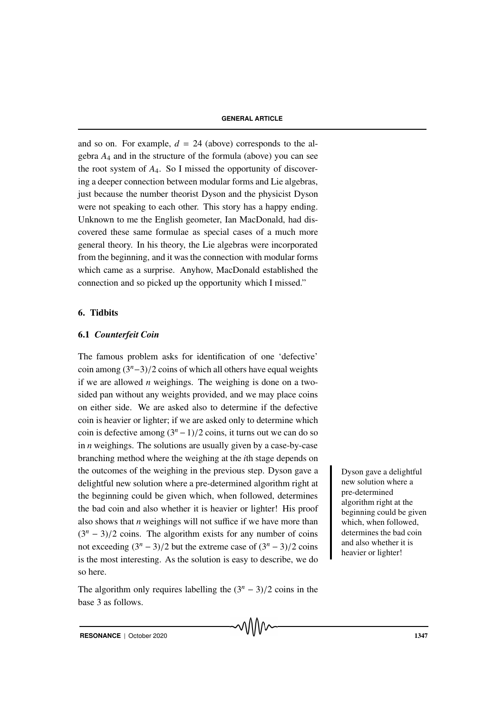and so on. For example,  $d = 24$  (above) corresponds to the algebra *A*<sup>4</sup> and in the structure of the formula (above) you can see the root system of *A*4. So I missed the opportunity of discovering a deeper connection between modular forms and Lie algebras, just because the number theorist Dyson and the physicist Dyson were not speaking to each other. This story has a happy ending. Unknown to me the English geometer, Ian MacDonald, had discovered these same formulae as special cases of a much more general theory. In his theory, the Lie algebras were incorporated from the beginning, and it was the connection with modular forms which came as a surprise. Anyhow, MacDonald established the connection and so picked up the opportunity which I missed."

# 6. Tidbits

# 6.1 *Counterfeit Coin*

The famous problem asks for identification of one 'defective' coin among (3*n*−3)/2 coins of which all others have equal weights if we are allowed *n* weighings. The weighing is done on a twosided pan without any weights provided, and we may place coins on either side. We are asked also to determine if the defective coin is heavier or lighter; if we are asked only to determine which coin is defective among (3*<sup>n</sup>* −1)/2 coins, it turns out we can do so in *n* weighings. The solutions are usually given by a case-by-case branching method where the weighing at the *i*th stage depends on the outcomes of the weighing in the previous step. Dyson gave  $\alpha$  Dyson gave a delightful delightful new solution where a pre-determined algorithm right at the beginning could be given which, when followed, determines the bad coin and also whether it is heavier or lighter! His proof also shows that *n* weighings will not suffice if we have more than  $(3<sup>n</sup> - 3)/2$  coins. The algorithm exists for any number of coins not exceeding  $(3^n - 3)/2$  but the extreme case of  $(3^n - 3)/2$  coins is the most interesting. As the solution is easy to describe, we do so here.

The algorithm only requires labelling the  $(3<sup>n</sup> - 3)/2$  coins in the base 3 as follows.

new solution where a pre-determined algorithm right at the beginning could be given which, when followed, determines the bad coin and also whether it is heavier or lighter!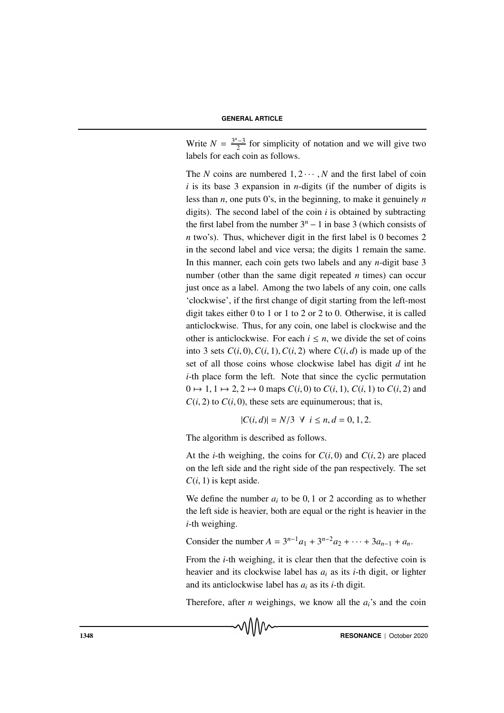Write  $N = \frac{3^n - 3}{2}$  $\frac{1}{2}$  for simplicity of notation and we will give two labels for each coin as follows.

The *N* coins are numbered  $1, 2, \dots, N$  and the first label of coin *i* is its base 3 expansion in *n*-digits (if the number of digits is less than *n*, one puts 0's, in the beginning, to make it genuinely *n* digits). The second label of the coin *i* is obtained by subtracting the first label from the number  $3<sup>n</sup> - 1$  in base 3 (which consists of *n* two's). Thus, whichever digit in the first label is 0 becomes 2 in the second label and vice versa; the digits 1 remain the same. In this manner, each coin gets two labels and any *n*-digit base 3 number (other than the same digit repeated *n* times) can occur just once as a label. Among the two labels of any coin, one calls 'clockwise', if the first change of digit starting from the left-most digit takes either 0 to 1 or 1 to 2 or 2 to 0. Otherwise, it is called anticlockwise. Thus, for any coin, one label is clockwise and the other is anticlockwise. For each  $i \leq n$ , we divide the set of coins into 3 sets  $C(i, 0), C(i, 1), C(i, 2)$  where  $C(i, d)$  is made up of the set of all those coins whose clockwise label has digit *d* int he *i*-th place form the left. Note that since the cyclic permutation  $0 \mapsto 1, 1 \mapsto 2, 2 \mapsto 0$  maps  $C(i, 0)$  to  $C(i, 1), C(i, 1)$  to  $C(i, 2)$  and  $C(i, 2)$  to  $C(i, 0)$ , these sets are equinumerous; that is,

$$
|C(i, d)| = N/3 \ \forall \ i \le n, d = 0, 1, 2.
$$

The algorithm is described as follows.

At the *i*-th weighing, the coins for  $C(i, 0)$  and  $C(i, 2)$  are placed on the left side and the right side of the pan respectively. The set  $C(i, 1)$  is kept aside.

We define the number  $a_i$  to be 0, 1 or 2 according as to whether the left side is heavier, both are equal or the right is heavier in the *i*-th weighing.

Consider the number  $A = 3^{n-1}a_1 + 3^{n-2}a_2 + \cdots + 3a_{n-1} + a_n$ .

From the *i*-th weighing, it is clear then that the defective coin is heavier and its clockwise label has  $a_i$  as its *i*-th digit, or lighter and its anticlockwise label has *a<sup>i</sup>* as its *i*-th digit.

Therefore, after *n* weighings, we know all the  $a_i$ 's and the coin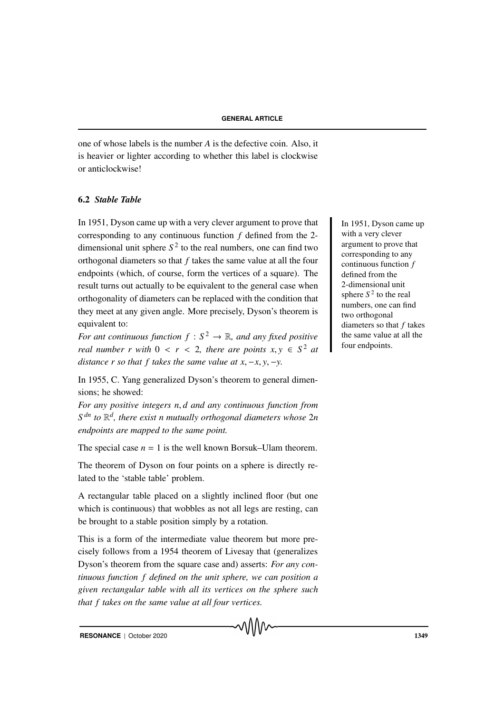one of whose labels is the number *A* is the defective coin. Also, it is heavier or lighter according to whether this label is clockwise or anticlockwise!

# 6.2 *Stable Table*

In 1951, Dyson came up with a very clever argument to prove that In 1951, Dyson came up corresponding to any continuous function *f* defined from the 2 dimensional unit sphere  $S<sup>2</sup>$  to the real numbers, one can find two orthogonal diameters so that *f* takes the same value at all the four endpoints (which, of course, form the vertices of a square). The result turns out actually to be equivalent to the general case when orthogonality of diameters can be replaced with the condition that they meet at any given angle. More precisely, Dyson's theorem is equivalent to:

*For ant continuous function*  $f : S^2 \to \mathbb{R}$ *, and any fixed positive real number r with*  $0 < r < 2$ , there are points  $x, y \in S^2$  at *distance r so that f takes the same value at*  $x, -x, y, -y$ *.* 

In 1955, C. Yang generalized Dyson's theorem to general dimensions; he showed:

*For any positive integers n*, *d and any continuous function from S dn to* R *d , there exist n mutually orthogonal diameters whose* 2*n endpoints are mapped to the same point.*

The special case  $n = 1$  is the well known Borsuk–Ulam theorem.

The theorem of Dyson on four points on a sphere is directly related to the 'stable table' problem.

A rectangular table placed on a slightly inclined floor (but one which is continuous) that wobbles as not all legs are resting, can be brought to a stable position simply by a rotation.

This is a form of the intermediate value theorem but more precisely follows from a 1954 theorem of Livesay that (generalizes Dyson's theorem from the square case and) asserts: *For any continuous function f defined on the unit sphere, we can position a given rectangular table with all its vertices on the sphere such that f takes on the same value at all four vertices.*

with a very clever argument to prove that corresponding to any continuous function *f* defined from the 2-dimensional unit sphere  $S^2$  to the real numbers, one can find two orthogonal diameters so that *f* takes the same value at all the four endpoints.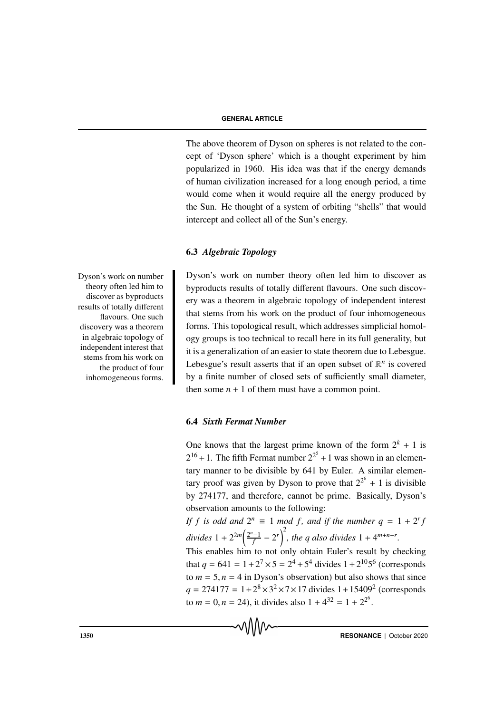The above theorem of Dyson on spheres is not related to the concept of 'Dyson sphere' which is a thought experiment by him popularized in 1960. His idea was that if the energy demands of human civilization increased for a long enough period, a time would come when it would require all the energy produced by the Sun. He thought of a system of orbiting "shells" that would intercept and collect all of the Sun's energy.

# 6.3 *Algebraic Topology*

Dyson's work on number theory often led him to discover as byproducts results of totally different flavours. One such discovery was a theorem in algebraic topology of independent interest that stems from his work on the product of four inhomogeneous forms. This topological result, which addresses simplicial homology groups is too technical to recall here in its full generality, but it is a generalization of an easier to state theorem due to Lebesgue. Lebesgue's result asserts that if an open subset of  $\mathbb{R}^n$  is covered by a finite number of closed sets of sufficiently small diameter, then some  $n + 1$  of them must have a common point.

# 6.4 *Sixth Fermat Number*

One knows that the largest prime known of the form  $2^k + 1$  is  $2^{16}$  + 1. The fifth Fermat number  $2^{2^5}$  + 1 was shown in an elementary manner to be divisible by 641 by Euler. A similar elementary proof was given by Dyson to prove that  $2^{2^6} + 1$  is divisible by 274177, and therefore, cannot be prime. Basically, Dyson's observation amounts to the following:

*If f* is odd and  $2^n \equiv 1 \mod f$ , and if the number  $q = 1 + 2^r f$ *divides*  $1 + 2^{2m} \left( \frac{2^n-1}{f} - 2^r \right)^2$ , the q also divides  $1 + 4^{m+n+r}$ .

This enables him to not only obtain Euler's result by checking that  $q = 641 = 1 + 2^7 \times 5 = 2^4 + 5^4$  divides  $1 + 2^{10}5^6$  (corresponds to  $m = 5$ ,  $n = 4$  in Dyson's observation) but also shows that since  $q = 274177 = 1 + 2^8 \times 3^2 \times 7 \times 17$  divides  $1 + 15409^2$  (corresponds to  $m = 0, n = 24$ , it divides also  $1 + 4^{32} = 1 + 2^{2^6}$ .

Dyson's work on number theory often led him to discover as byproducts results of totally different flavours. One such discovery was a theorem in algebraic topology of independent interest that stems from his work on the product of four inhomogeneous forms.